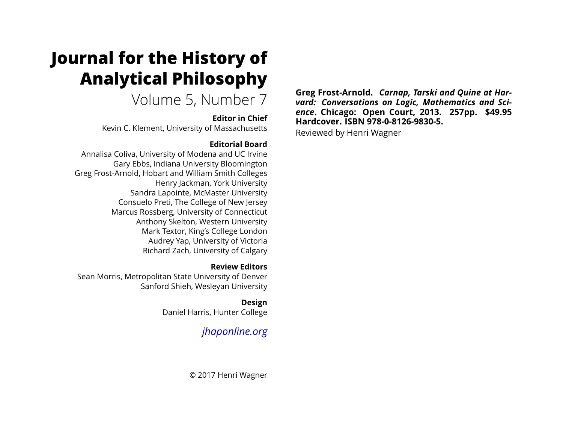# **Journal for the History of Analytical Philosophy**

Volume 5, Number 7

### **Editor in Chief**

Kevin C. Klement, University of Massachusetts

### **Editorial Board**

Annalisa Coliva, University of Modena and UC Irvine Gary Ebbs, Indiana University Bloomington Greg Frost-Arnold, Hobart and William Smith Colleges Henry Jackman, York University Sandra Lapointe, McMaster University Consuelo Preti, The College of New Jersey Marcus Rossberg, University of Connecticut Anthony Skelton, Western University Mark Textor, King's College London Audrey Yap, University of Victoria Richard Zach, University of Calgary

### **Review Editors**

Sean Morris, Metropolitan State University of Denver Sanford Shieh, Wesleyan University

> **Design** Daniel Harris, Hunter College

## *[jhaponline.org](https://jhaponline.org)*

© 2017 Henri Wagner

**Greg Frost-Arnold.** *Carnap, Tarski and Quine at Harvard: Conversations on Logic, Mathematics and Science***. Chicago: Open Court, 2013. 257pp. \$49.95 Hardcover. ISBN 978-0-8126-9830-5.**

Reviewed by Henri Wagner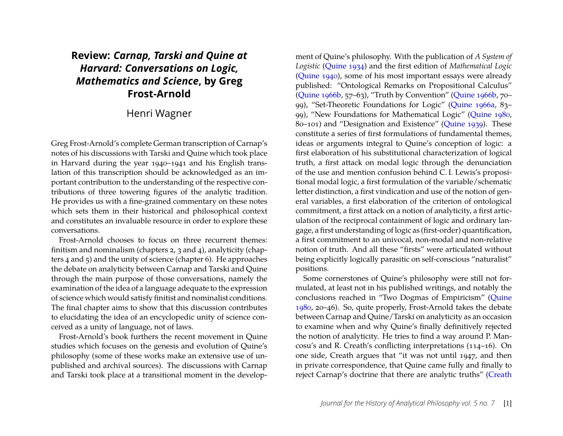### **Review:** *Carnap, Tarski and Quine at Harvard: Conversations on Logic, Mathematics and Science***, by Greg Frost-Arnold**

### Henri Wagner

Greg Frost-Arnold's complete German transcription of Carnap's notes of his discussions with Tarski and Quine which took place in Harvard during the year 1940–1941 and his English translation of this transcription should be acknowledged as an important contribution to the understanding of the respective contributions of three towering figures of the analytic tradition. He provides us with a fine-grained commentary on these notes which sets them in their historical and philosophical context and constitutes an invaluable resource in order to explore these conversations.

Frost-Arnold chooses to focus on three recurrent themes: finitism and nominalism (chapters 2, 3 and 4), analyticity (chapters 4 and 5) and the unity of science (chapter 6). He approaches the debate on analyticity between Carnap and Tarski and Quine through the main purpose of those conversations, namely the examination of the idea of a language adequate to the expression of science which would satisfy finitist and nominalist conditions. The final chapter aims to show that this discussion contributes to elucidating the idea of an encyclopedic unity of science conceived as a unity of language, not of laws.

Frost-Arnold's book furthers the recent movement in Quine studies which focuses on the genesis and evolution of Quine's philosophy (some of these works make an extensive use of unpublished and archival sources). The discussions with Carnap and Tarski took place at a transitional moment in the develop-

ment of Quine's philosophy. With the publication of *A System of Logistic* [\(Quine 1934\)](#page-6-0) and the first edition of *Mathematical Logic* [\(Quine 1940\)](#page-6-1), some of his most important essays were already published: "Ontological Remarks on Propositional Calculus" [\(Quine 1966b,](#page-6-2) 57–63), "Truth by Convention" [\(Quine 1966b,](#page-6-2) 70– 99), "Set-Theoretic Foundations for Logic" [\(Quine 1966a,](#page-6-3) 83– 99), "New Foundations for Mathematical Logic" [\(Quine 1980,](#page-6-4) 80–101) and "Designation and Existence" [\(Quine 1939\)](#page-6-5). These constitute a series of first formulations of fundamental themes, ideas or arguments integral to Quine's conception of logic: a first elaboration of his substitutional characterization of logical truth, a first attack on modal logic through the denunciation of the use and mention confusion behind C. I. Lewis's propositional modal logic, a first formulation of the variable/schematic letter distinction, a first vindication and use of the notion of general variables, a first elaboration of the criterion of ontological commitment, a first attack on a notion of analyticity, a first articulation of the reciprocal containment of logic and ordinary langage, a first understanding of logic as (first-order) quantification, a first commitment to an univocal, non-modal and non-relative notion of truth. And all these "firsts" were articulated without being explicitly logically parasitic on self-conscious "naturalist" positions.

Some cornerstones of Quine's philosophy were still not formulated, at least not in his published writings, and notably the conclusions reached in "Two Dogmas of Empiricism" [\(Quine](#page-6-4) [1980,](#page-6-4) 20–46). So, quite properly, Frost-Arnold takes the debate between Carnap and Quine/Tarski on analyticity as an occasion to examine when and why Quine's finally definitively rejected the notion of analyticity. He tries to find a way around P. Mancosu's and R. Creath's conflicting interpretations (114–16). On one side, Creath argues that "it was not until 1947, and then in private correspondence, that Quine came fully and finally to reject Carnap's doctrine that there are analytic truths" [\(Creath](#page-6-6)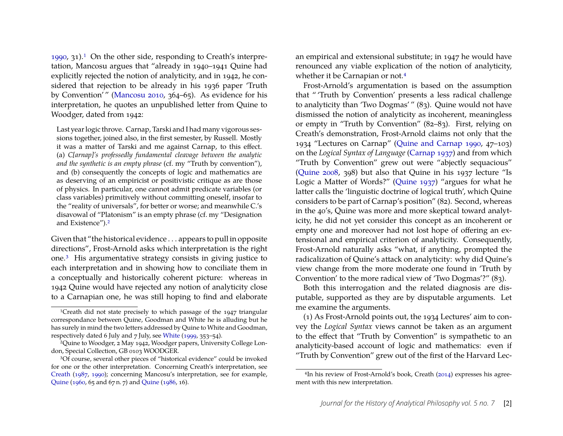[1990,](#page-6-6) 31).[1](#page-2-0) On the other side, responding to Creath's interpretation, Mancosu argues that "already in 1940–1941 Quine had explicitly rejected the notion of analyticity, and in 1942, he considered that rejection to be already in his 1936 paper 'Truth by Convention' " [\(Mancosu 2010,](#page-6-7) 364–65). As evidence for his interpretation, he quotes an unpublished letter from Quine to Woodger, dated from 1942:

Last year logic throve. Carnap, Tarski and I had many vigorous sessions together, joined also, in the first semester, by Russell. Mostly it was a matter of Tarski and me against Carnap, to this effect. (a) *C[arnap]'s professedly fundamental cleavage between the analytic and the synthetic is an empty phrase* (cf. my "Truth by convention"), and (b) consequently the concepts of logic and mathematics are as deserving of an empiricist or positivistic critique as are those of physics. In particular, one cannot admit predicate variables (or class variables) primitively without committing oneself, insofar to the "reality of universals", for better or worse; and meanwhile C.'s disavowal of "Platonism" is an empty phrase (cf. my "Designation and Existence").[2](#page-2-1)

Given that "the historical evidence . . . appears to pull in opposite directions", Frost-Arnold asks which interpretation is the right one.[3](#page-2-2) His argumentative strategy consists in giving justice to each interpretation and in showing how to conciliate them in a conceptually and historically coherent picture: whereas in 1942 Quine would have rejected any notion of analyticity close to a Carnapian one, he was still hoping to find and elaborate an empirical and extensional substitute; in 1947 he would have renounced any viable explication of the notion of analyticity, whether it be Carnapian or not.<sup>[4](#page-2-3)</sup>

Frost-Arnold's argumentation is based on the assumption that " 'Truth by Convention' presents a less radical challenge to analyticity than 'Two Dogmas' " (83). Quine would not have dismissed the notion of analyticity as incoherent, meaningless or empty in "Truth by Convention" (82–83). First, relying on Creath's demonstration, Frost-Arnold claims not only that the 1934 "Lectures on Carnap" [\(Quine and Carnap 1990,](#page-6-12) 47–103) on the *Logical Syntax of Language* [\(Carnap 1937\)](#page-6-13) and from which "Truth by Convention" grew out were "abjectly sequacious" [\(Quine 2008,](#page-6-14) 398) but also that Quine in his 1937 lecture "Is Logic a Matter of Words?" [\(Quine 1937\)](#page-6-15) "argues for what he latter calls the 'linguistic doctrine of logical truth', which Quine considers to be part of Carnap's position" (82). Second, whereas in the 40's, Quine was more and more skeptical toward analyticity, he did not yet consider this concept as an incoherent or empty one and moreover had not lost hope of offering an extensional and empirical criterion of analyticity. Consequently, Frost-Arnold naturally asks "what, if anything, prompted the radicalization of Quine's attack on analyticity: why did Quine's view change from the more moderate one found in 'Truth by Convention' to the more radical view of 'Two Dogmas'?" (83).

Both this interrogation and the related diagnosis are disputable, supported as they are by disputable arguments. Let me examine the arguments.

(1) As Frost-Arnold points out, the 1934 Lectures' aim to convey the *Logical Syntax* views cannot be taken as an argument to the effect that "Truth by Convention" is sympathetic to an analyticity-based account of logic and mathematics: even if "Truth by Convention" grew out of the first of the Harvard Lec-

<span id="page-2-0"></span><sup>1</sup>Creath did not state precisely to which passage of the 1947 triangular correspondance between Quine, Goodman and White he is alluding but he has surely in mind the two letters addressed by Quine to White and Goodman, respectively dated 6 July and 7 July, see [White](#page-6-8) [\(1999,](#page-6-8) 353–54).

<span id="page-2-1"></span><sup>2</sup>Quine to Woodger, 2 May 1942, Woodger papers, University College London, Special Collection, GB 0103 WOODGER.

<span id="page-2-2"></span><sup>3</sup>Of course, several other pieces of "historical evidence" could be invoked for one or the other interpretation. Concerning Creath's interpretation, see [Creath](#page-6-9) [\(1987,](#page-6-9) [1990\)](#page-6-6); concerning Mancosu's interpretation, see for example, [Quine](#page-6-10) [\(1960,](#page-6-10) 65 and 67 n. 7) and [Quine](#page-6-11) [\(1986,](#page-6-11) 16).

<span id="page-2-3"></span><sup>&</sup>lt;sup>4</sup>In his review of Frost-Arnold's book, Creath [\(2014\)](#page-6-16) expresses his agreement with this new interpretation.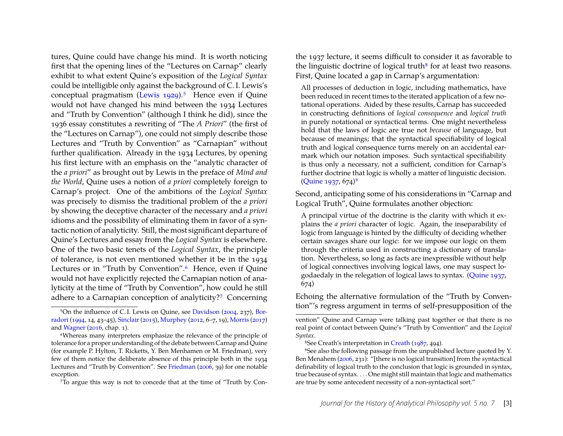tures, Quine could have change his mind. It is worth noticing first that the opening lines of the "Lectures on Carnap" clearly exhibit to what extent Quine's exposition of the *Logical Syntax* could be intelligible only against the background of C. I. Lewis's conceptual pragmatism [\(Lewis 1929\)](#page-6-17).<sup>[5](#page-3-0)</sup> Hence even if Quine would not have changed his mind between the 1934 Lectures and "Truth by Convention" (although I think he did), since the 1936 essay constitutes a rewriting of "The *A Priori*" (the first of the "Lectures on Carnap"), one could not simply describe those Lectures and "Truth by Convention" as "Carnapian" without further qualification. Already in the 1934 Lectures, by opening his first lecture with an emphasis on the "analytic character of the *a priori*" as brought out by Lewis in the preface of *Mind and the World*, Quine uses a notion of *a priori* completely foreign to Carnap's project. One of the ambitions of the *Logical Syntax* was precisely to dismiss the traditional problem of the *a priori* by showing the deceptive character of the necessary and *a priori* idioms and the possibility of eliminating them in favor of a syntactic notion of analyticity. Still, the most significant departure of Quine's Lectures and essay from the *Logical Syntax* is elsewhere. One of the two basic tenets of the *Logical Syntax*, the principle of tolerance, is not even mentioned whether it be in the 1934 Lectures or in "Truth by Convention".<sup>[6](#page-3-1)</sup> Hence, even if Quine would not have explicitly rejected the Carnapian notion of analyticity at the time of "Truth by Convention", how could he still adhere to a Carnapian conception of analyticity?[7](#page-3-2) Concerning

<span id="page-3-2"></span>7To argue this way is not to concede that at the time of "Truth by Con-

the 1937 lecture, it seems difficult to consider it as favorable to the linguistic doctrine of logical truth<sup>[8](#page-3-3)</sup> for at least two reasons. First, Quine located a gap in Carnap's argumentation:

All processes of deduction in logic, including mathematics, have been reduced in recent times to the iterated application of a few notational operations. Aided by these results, Carnap has succeeded in constructing definitions of *logical consequence* and *logical truth* in purely notational or syntactical terms. One might nevertheless hold that the laws of logic are true not *because* of language, but because of meanings; that the syntactical specifiability of logical truth and logical consequence turns merely on an accidental earmark which our notation imposes. Such syntactical specifiability is thus only a necessary, not a sufficient, condition for Carnap's further doctrine that logic is wholly a matter of linguistic decision.  $(Quine 1937, 674)^9$  $(Quine 1937, 674)^9$  $(Quine 1937, 674)^9$ 

Second, anticipating some of his considerations in "Carnap and Logical Truth", Quine formulates another objection:

A principal virtue of the doctrine is the clarity with which it explains the *a priori* character of logic. Again, the inseparability of logic from language is hinted by the difficulty of deciding whether certain savages share our logic: for we impose our logic on them through the criteria used in constructing a dictionary of translation. Nevertheless, so long as facts are inexpressible without help of logical connectives involving logical laws, one may suspect logodaedaly in the relegation of logical laws to syntax. [\(Quine 1937,](#page-6-15) 674)

Echoing the alternative formulation of the "Truth by Convention"'s regress argument in terms of self-presupposition of the

<span id="page-3-0"></span><sup>5</sup>On the influence of C. I. Lewis on Quine, see [Davidson](#page-6-18) [\(2004,](#page-6-18) 237), [Bor](#page-6-19)[radori](#page-6-19) [\(1994,](#page-6-19) 14, 43–45), [Sinclair](#page-6-20) [\(2015\)](#page-6-20), [Murphey](#page-6-21) [\(2012,](#page-6-21) 6–7, 19), [Morris](#page-6-22) [\(2017\)](#page-6-22) and [Wagner](#page-6-23) [\(2016,](#page-6-23) chap. 1).

<span id="page-3-1"></span><sup>6</sup>Whereas many interpreters emphasize the relevance of the principle of tolerance for a proper understanding of the debate between Carnap and Quine (for example P. Hylton, T. Ricketts, Y. Ben Menhamen or M. Friedman), very few of them notice the deliberate absence of this principle both in the 1934 Lectures and "Truth by Convention". See [Friedman](#page-6-24) [\(2006,](#page-6-24) 39) for one notable exception.

vention" Quine and Carnap were talking past together or that there is no real point of contact between Quine's "Truth by Convention" and the *Logical Syntax*.

<span id="page-3-4"></span><span id="page-3-3"></span><sup>8</sup>See Creath's interpretation in [Creath](#page-6-9) [\(1987,](#page-6-9) 494).

<sup>9</sup>See also the following passage from the unpublished lecture quoted by Y. Ben Menahem [\(2006,](#page-6-25) 231): "[there is no logical transition] from the syntactical definability of logical truth to the conclusion that logic is grounded in syntax, true because of syntax. . . . One might still maintain that logic and mathematics are true by some antecedent necessity of a non-syntactical sort."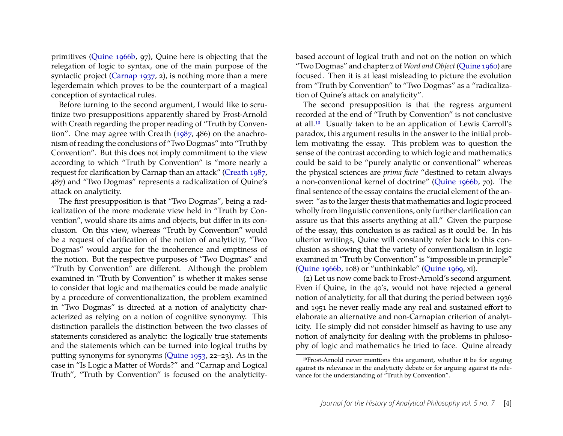primitives [\(Quine 1966b,](#page-6-2) 97), Quine here is objecting that the relegation of logic to syntax, one of the main purpose of the syntactic project [\(Carnap 1937,](#page-6-13) 2), is nothing more than a mere legerdemain which proves to be the counterpart of a magical conception of syntactical rules.

Before turning to the second argument, I would like to scrutinize two presuppositions apparently shared by Frost-Arnold with Creath regarding the proper reading of "Truth by Convention". One may agree with Creath [\(1987,](#page-6-9) 486) on the anachronism of reading the conclusions of "Two Dogmas" into "Truth by Convention". But this does not imply commitment to the view according to which "Truth by Convention" is "more nearly a request for clarification by Carnap than an attack" [\(Creath 1987,](#page-6-9) 487) and "Two Dogmas" represents a radicalization of Quine's attack on analyticity.

The first presupposition is that "Two Dogmas", being a radicalization of the more moderate view held in "Truth by Convention", would share its aims and objects, but differ in its conclusion. On this view, whereas "Truth by Convention" would be a request of clarification of the notion of analyticity, "Two Dogmas" would argue for the incoherence and emptiness of the notion. But the respective purposes of "Two Dogmas" and "Truth by Convention" are different. Although the problem examined in "Truth by Convention" is whether it makes sense to consider that logic and mathematics could be made analytic by a procedure of conventionalization, the problem examined in "Two Dogmas" is directed at a notion of analyticity characterized as relying on a notion of cognitive synonymy. This distinction parallels the distinction between the two classes of statements considered as analytic: the logically true statements and the statements which can be turned into logical truths by putting synonyms for synonyms [\(Quine 1953,](#page-6-26) 22–23). As in the case in "Is Logic a Matter of Words?" and "Carnap and Logical Truth", "Truth by Convention" is focused on the analyticitybased account of logical truth and not on the notion on which "Two Dogmas" and chapter 2 of *Word and Object* [\(Quine 1960\)](#page-6-10) are focused. Then it is at least misleading to picture the evolution from "Truth by Convention" to "Two Dogmas" as a "radicalization of Quine's attack on analyticity".

The second presupposition is that the regress argument recorded at the end of "Truth by Convention" is not conclusive at all.[10](#page-4-0) Usually taken to be an application of Lewis Carroll's paradox, this argument results in the answer to the initial problem motivating the essay. This problem was to question the sense of the contrast according to which logic and mathematics could be said to be "purely analytic or conventional" whereas the physical sciences are *prima facie* "destined to retain always a non-conventional kernel of doctrine" [\(Quine 1966b,](#page-6-2) 70). The final sentence of the essay contains the crucial element of the answer: "as to the larger thesis that mathematics and logic proceed wholly from linguistic conventions, only further clarification can assure us that this asserts anything at all." Given the purpose of the essay, this conclusion is as radical as it could be. In his ulterior writings, Quine will constantly refer back to this conclusion as showing that the variety of conventionalism in logic examined in "Truth by Convention" is "impossible in principle" [\(Quine 1966b,](#page-6-2) 108) or "unthinkable" [\(Quine 1969,](#page-6-27) xi).

(2) Let us now come back to Frost-Arnold's second argument. Even if Quine, in the 40's, would not have rejected a general notion of analyticity, for all that during the period between 1936 and 1951 he never really made any real and sustained effort to elaborate an alternative and non-Carnapian criterion of analyticity. He simply did not consider himself as having to use any notion of analyticity for dealing with the problems in philosophy of logic and mathematics he tried to face. Quine already

<span id="page-4-0"></span><sup>10</sup>Frost-Arnold never mentions this argument, whether it be for arguing against its relevance in the analyticity debate or for arguing against its relevance for the understanding of "Truth by Convention".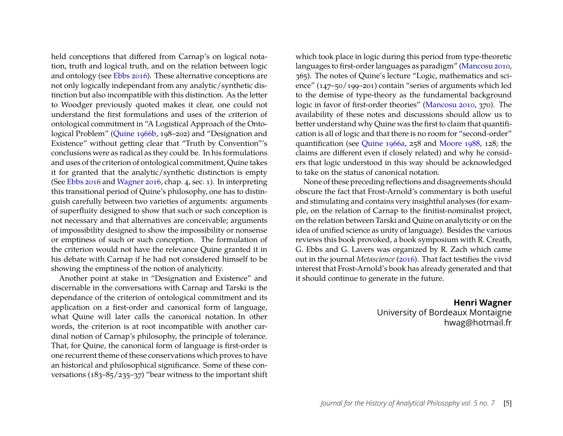held conceptions that differed from Carnap's on logical notation, truth and logical truth, and on the relation between logic and ontology (see [Ebbs 2016\)](#page-6-28). These alternative conceptions are not only logically independant from any analytic/synthetic distinction but also incompatible with this distinction. As the letter to Woodger previously quoted makes it clear, one could not understand the first formulations and uses of the criterion of ontological commitment in "A Logistical Approach of the Ontological Problem" [\(Quine 1966b,](#page-6-2) 198–202) and "Designation and Existence" without getting clear that "Truth by Convention"'s conclusions were as radical as they could be. In his formulations and uses of the criterion of ontological commitment, Quine takes it for granted that the analytic/synthetic distinction is empty (See [Ebbs 2016](#page-6-28) and [Wagner 2016,](#page-6-23) chap. 4, sec. 1). In interpreting this transitional period of Quine's philosophy, one has to distinguish carefully between two varieties of arguments: arguments of superfluity designed to show that such or such conception is not necessary and that alternatives are conceivable; arguments of impossibility designed to show the impossibility or nonsense or emptiness of such or such conception. The formulation of the criterion would not have the relevance Quine granted it in his debate with Carnap if he had not considered himself to be showing the emptiness of the notion of analyticity.

Another point at stake in "Designation and Existence" and discernable in the conversations with Carnap and Tarski is the dependance of the criterion of ontological commitment and its application on a first-order and canonical form of language, what Quine will later calls the canonical notation. In other words, the criterion is at root incompatible with another cardinal notion of Carnap's philosophy, the principle of tolerance. That, for Quine, the canonical form of language is first-order is one recurrent theme of these conservations which proves to have an historical and philosophical significance. Some of these conversations  $(183-85/235-37)$  "bear witness to the important shift which took place in logic during this period from type-theoretic languages to first-order languages as paradigm" [\(Mancosu 2010,](#page-6-7) 365). The notes of Quine's lecture "Logic, mathematics and science" (147–50/199–201) contain "series of arguments which led to the demise of type-theory as the fundamental background logic in favor of first-order theories" [\(Mancosu 2010,](#page-6-7) 370). The availability of these notes and discussions should allow us to better understand why Quine was the first to claim that quantification is all of logic and that there is no room for "second-order" quantification (see [Quine 1966a,](#page-6-3) 258 and [Moore 1988,](#page-6-29) 128; the claims are different even if closely related) and why he considers that logic understood in this way should be acknowledged to take on the status of canonical notation.

None of these preceding reflections and disagreements should obscure the fact that Frost-Arnold's commentary is both useful and stimulating and contains very insightful analyses (for example, on the relation of Carnap to the finitist-nominalist project, on the relation between Tarski and Quine on analyticity or on the idea of unified science as unity of language). Besides the various reviews this book provoked, a book symposium with R. Creath, G. Ebbs and G. Lavers was organized by R. Zach which came out in the journal *Metascience* [\(2016\)](#page-6-30). That fact testifies the vivid interest that Frost-Arnold's book has already generated and that it should continue to generate in the future.

#### **Henri Wagner**

University of Bordeaux Montaigne hwag@hotmail.fr